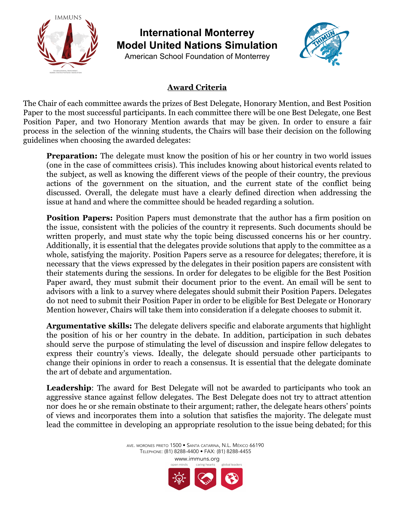

**International Monterrey Model United Nations Simulation**

American School Foundation of Monterrey



## **Award Criteria**

The Chair of each committee awards the prizes of Best Delegate, Honorary Mention, and Best Position Paper to the most successful participants. In each committee there will be one Best Delegate, one Best Position Paper, and two Honorary Mention awards that may be given. In order to ensure a fair process in the selection of the winning students, the Chairs will base their decision on the following guidelines when choosing the awarded delegates:

**Preparation:** The delegate must know the position of his or her country in two world issues (one in the case of committees crisis). This includes knowing about historical events related to the subject, as well as knowing the different views of the people of their country, the previous actions of the government on the situation, and the current state of the conflict being discussed. Overall, the delegate must have a clearly defined direction when addressing the issue at hand and where the committee should be headed regarding a solution.

**Position Papers:** Position Papers must demonstrate that the author has a firm position on the issue, consistent with the policies of the country it represents. Such documents should be written properly, and must state why the topic being discussed concerns his or her country. Additionally, it is essential that the delegates provide solutions that apply to the committee as a whole, satisfying the majority. Position Papers serve as a resource for delegates; therefore, it is necessary that the views expressed by the delegates in their position papers are consistent with their statements during the sessions. In order for delegates to be eligible for the Best Position Paper award, they must submit their document prior to the event. An email will be sent to advisors with a link to a survey where delegates should submit their Position Papers. Delegates do not need to submit their Position Paper in order to be eligible for Best Delegate or Honorary Mention however, Chairs will take them into consideration if a delegate chooses to submit it.

**Argumentative skills:** The delegate delivers specific and elaborate arguments that highlight the position of his or her country in the debate. In addition, participation in such debates should serve the purpose of stimulating the level of discussion and inspire fellow delegates to express their country's views. Ideally, the delegate should persuade other participants to change their opinions in order to reach a consensus. It is essential that the delegate dominate the art of debate and argumentation.

**Leadership**: The award for Best Delegate will not be awarded to participants who took an aggressive stance against fellow delegates. The Best Delegate does not try to attract attention nor does he or she remain obstinate to their argument; rather, the delegate hears others' points of views and incorporates them into a solution that satisfies the majority. The delegate must lead the committee in developing an appropriate resolution to the issue being debated; for this

> AVE. MORONES PRIETO 1500 • SANTA CATARINA, N.L. MÉXICO 66190 TELEPHONE: (81) 8288-4400 • FAX: (81) 8288-4455 www.immuns.org